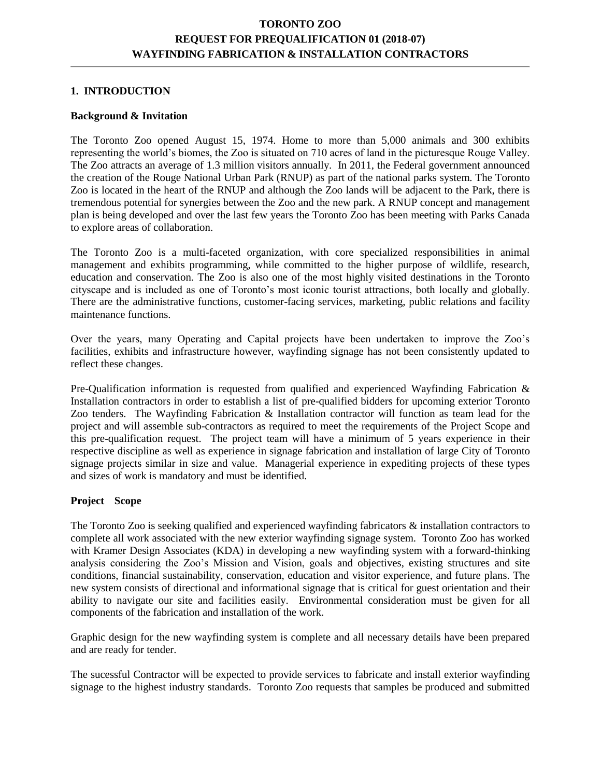## **TORONTO ZOO REQUEST FOR PREQUALIFICATION 01 (2018-07) WAYFINDING FABRICATION & INSTALLATION CONTRACTORS**

#### **1. INTRODUCTION**

#### **Background & Invitation**

The Toronto Zoo opened August 15, 1974. Home to more than 5,000 animals and 300 exhibits representing the world's biomes, the Zoo is situated on 710 acres of land in the picturesque Rouge Valley. The Zoo attracts an average of 1.3 million visitors annually. In 2011, the Federal government announced the creation of the Rouge National Urban Park (RNUP) as part of the national parks system. The Toronto Zoo is located in the heart of the RNUP and although the Zoo lands will be adjacent to the Park, there is tremendous potential for synergies between the Zoo and the new park. A RNUP concept and management plan is being developed and over the last few years the Toronto Zoo has been meeting with Parks Canada to explore areas of collaboration.

The Toronto Zoo is a multi-faceted organization, with core specialized responsibilities in animal management and exhibits programming, while committed to the higher purpose of wildlife, research, education and conservation. The Zoo is also one of the most highly visited destinations in the Toronto cityscape and is included as one of Toronto's most iconic tourist attractions, both locally and globally. There are the administrative functions, customer-facing services, marketing, public relations and facility maintenance functions.

Over the years, many Operating and Capital projects have been undertaken to improve the Zoo's facilities, exhibits and infrastructure however, wayfinding signage has not been consistently updated to reflect these changes.

Pre-Qualification information is requested from qualified and experienced Wayfinding Fabrication & Installation contractors in order to establish a list of pre-qualified bidders for upcoming exterior Toronto Zoo tenders. The Wayfinding Fabrication & Installation contractor will function as team lead for the project and will assemble sub-contractors as required to meet the requirements of the Project Scope and this pre-qualification request. The project team will have a minimum of 5 years experience in their respective discipline as well as experience in signage fabrication and installation of large City of Toronto signage projects similar in size and value. Managerial experience in expediting projects of these types and sizes of work is mandatory and must be identified.

#### **Project Scope**

The Toronto Zoo is seeking qualified and experienced wayfinding fabricators & installation contractors to complete all work associated with the new exterior wayfinding signage system. Toronto Zoo has worked with Kramer Design Associates (KDA) in developing a new wayfinding system with a forward-thinking analysis considering the Zoo's Mission and Vision, goals and objectives, existing structures and site conditions, financial sustainability, conservation, education and visitor experience, and future plans. The new system consists of directional and informational signage that is critical for guest orientation and their ability to navigate our site and facilities easily. Environmental consideration must be given for all components of the fabrication and installation of the work.

Graphic design for the new wayfinding system is complete and all necessary details have been prepared and are ready for tender.

The sucessful Contractor will be expected to provide services to fabricate and install exterior wayfinding signage to the highest industry standards. Toronto Zoo requests that samples be produced and submitted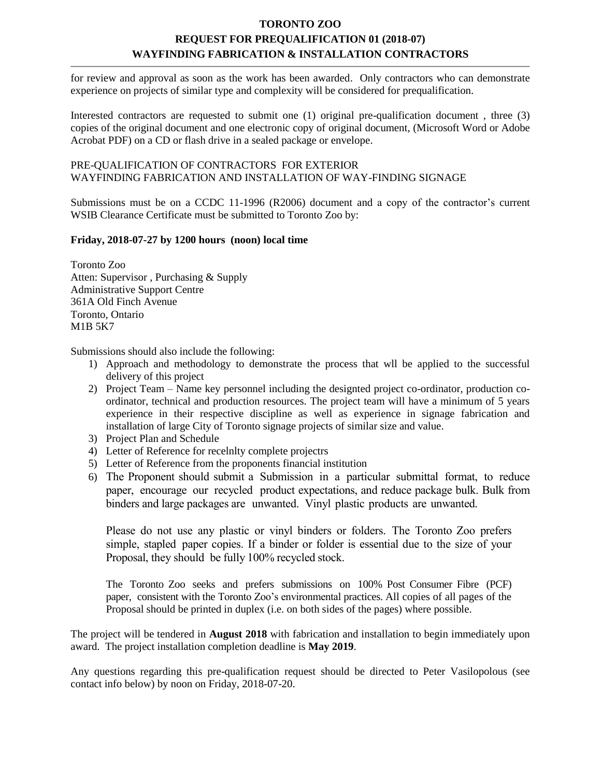# **TORONTO ZOO REQUEST FOR PREQUALIFICATION 01 (2018-07) WAYFINDING FABRICATION & INSTALLATION CONTRACTORS**

for review and approval as soon as the work has been awarded. Only contractors who can demonstrate experience on projects of similar type and complexity will be considered for prequalification.

Interested contractors are requested to submit one (1) original pre-qualification document , three (3) copies of the original document and one electronic copy of original document, (Microsoft Word or Adobe Acrobat PDF) on a CD or flash drive in a sealed package or envelope.

### PRE-QUALIFICATION OF CONTRACTORS FOR EXTERIOR WAYFINDING FABRICATION AND INSTALLATION OF WAY-FINDING SIGNAGE

Submissions must be on a CCDC 11-1996 (R2006) document and a copy of the contractor's current WSIB Clearance Certificate must be submitted to Toronto Zoo by:

### **Friday, 2018-07-27 by 1200 hours (noon) local time**

Toronto Zoo Atten: Supervisor , Purchasing & Supply Administrative Support Centre 361A Old Finch Avenue Toronto, Ontario M1B 5K7

Submissions should also include the following:

- 1) Approach and methodology to demonstrate the process that wll be applied to the successful delivery of this project
- 2) Project Team Name key personnel including the designted project co-ordinator, production coordinator, technical and production resources. The project team will have a minimum of 5 years experience in their respective discipline as well as experience in signage fabrication and installation of large City of Toronto signage projects of similar size and value.
- 3) Project Plan and Schedule
- 4) Letter of Reference for recelnlty complete projectrs
- 5) Letter of Reference from the proponents financial institution
- 6) The Proponent should submit a Submission in a particular submittal format, to reduce paper, encourage our recycled product expectations, and reduce package bulk. Bulk from binders and large packages are unwanted. Vinyl plastic products are unwanted.

Please do not use any plastic or vinyl binders or folders. The Toronto Zoo prefers simple, stapled paper copies. If a binder or folder is essential due to the size of your Proposal, they should be fully 100% recycled stock.

The Toronto Zoo seeks and prefers submissions on 100% Post Consumer Fibre (PCF) paper, consistent with the Toronto Zoo's environmental practices. All copies of all pages of the Proposal should be printed in duplex (i.e. on both sides of the pages) where possible.

The project will be tendered in **August 2018** with fabrication and installation to begin immediately upon award. The project installation completion deadline is **May 2019**.

Any questions regarding this pre-qualification request should be directed to Peter Vasilopolous (see contact info below) by noon on Friday, 2018-07-20.